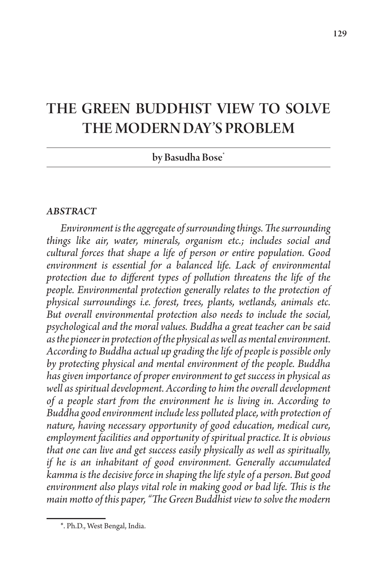# THE GREEN BUDDHIST VIEW TO SOLVE THE MODERN DAY'S PROBLEM

by Basudha Bose\*

#### *ABSTRACT*

*Environment is the aggregate of surrounding things. The surrounding things like air, water, minerals, organism etc.; includes social and cultural forces that shape a life of person or entire population. Good environment is essential for a balanced life. Lack of environmental protection due to different types of pollution threatens the life of the people. Environmental protection generally relates to the protection of physical surroundings i.e. forest, trees, plants, wetlands, animals etc. But overall environmental protection also needs to include the social, psychological and the moral values. Buddha a great teacher can be said as the pioneer in protection of the physical as well as mental environment. According to Buddha actual up grading the life of people is possible only by protecting physical and mental environment of the people. Buddha has given importance of proper environment to get success in physical as well as spiritual development. According to him the overall development of a people start from the environment he is living in. According to Buddha good environment include less polluted place, with protection of nature, having necessary opportunity of good education, medical cure, employment facilities and opportunity of spiritual practice. It is obvious that one can live and get success easily physically as well as spiritually, if he is an inhabitant of good environment. Generally accumulated kamma is the decisive force in shaping the life style of a person. But good environment also plays vital role in making good or bad life. This is the main motto of this paper, "The Green Buddhist view to solve the modern* 

<sup>\*.</sup> Ph.D., West Bengal, India.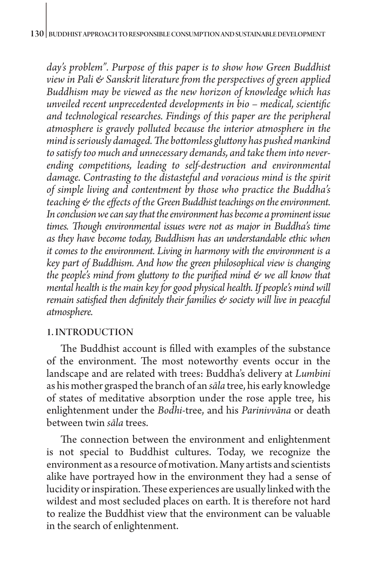*day's problem". Purpose of this paper is to show how Green Buddhist view in Pali & Sanskrit literature from the perspectives of green applied Buddhism may be viewed as the new horizon of knowledge which has unveiled recent unprecedented developments in bio – medical, scientific and technological researches. Findings of this paper are the peripheral atmosphere is gravely polluted because the interior atmosphere in the mind is seriously damaged. The bottomless gluttony has pushed mankind to satisfy too much and unnecessary demands, and take them into neverending competitions, leading to self-destruction and environmental damage. Contrasting to the distasteful and voracious mind is the spirit of simple living and contentment by those who practice the Buddha's teaching & the effects of the Green Buddhist teachings on the environment. In conclusion we can say that the environment has become a prominent issue times. Though environmental issues were not as major in Buddha's time as they have become today, Buddhism has an understandable ethic when it comes to the environment. Living in harmony with the environment is a key part of Buddhism. And how the green philosophical view is changing the people's mind from gluttony to the purified mind & we all know that mental health is the main key for good physical health. If people's mind will remain satisfied then definitely their families & society will live in peaceful atmosphere.*

## 1. INTRODUCTION

The Buddhist account is filled with examples of the substance of the environment. The most noteworthy events occur in the landscape and are related with trees: Buddha's delivery at *Lumbini* as his mother grasped the branch of an *sāla* tree, his early knowledge of states of meditative absorption under the rose apple tree, his enlightenment under the *Bodhi*-tree, and his *Parinivvāna* or death between twin *sāla* trees.

The connection between the environment and enlightenment is not special to Buddhist cultures. Today, we recognize the environment as a resource of motivation. Many artists and scientists alike have portrayed how in the environment they had a sense of lucidity or inspiration. These experiences are usually linked with the wildest and most secluded places on earth. It is therefore not hard to realize the Buddhist view that the environment can be valuable in the search of enlightenment.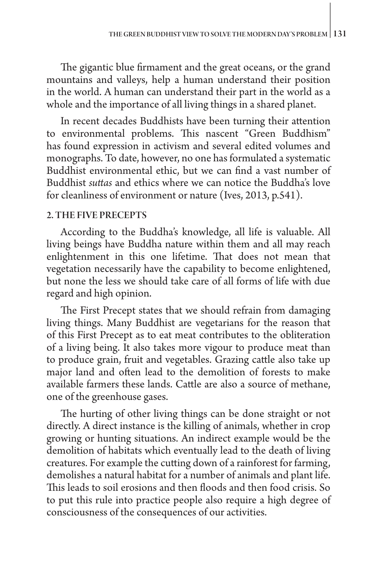The gigantic blue firmament and the great oceans, or the grand mountains and valleys, help a human understand their position in the world. A human can understand their part in the world as a whole and the importance of all living things in a shared planet.

In recent decades Buddhists have been turning their attention to environmental problems. This nascent "Green Buddhism" has found expression in activism and several edited volumes and monographs. To date, however, no one has formulated a systematic Buddhist environmental ethic, but we can find a vast number of Buddhist *suttas* and ethics where we can notice the Buddha's love for cleanliness of environment or nature (Ives, 2013, p.541).

#### 2. THE FIVE PRECEPTS

According to the Buddha's knowledge, all life is valuable. All living beings have Buddha nature within them and all may reach enlightenment in this one lifetime. That does not mean that vegetation necessarily have the capability to become enlightened, but none the less we should take care of all forms of life with due regard and high opinion.

The First Precept states that we should refrain from damaging living things. Many Buddhist are vegetarians for the reason that of this First Precept as to eat meat contributes to the obliteration of a living being. It also takes more vigour to produce meat than to produce grain, fruit and vegetables. Grazing cattle also take up major land and often lead to the demolition of forests to make available farmers these lands. Cattle are also a source of methane, one of the greenhouse gases.

The hurting of other living things can be done straight or not directly. A direct instance is the killing of animals, whether in crop growing or hunting situations. An indirect example would be the demolition of habitats which eventually lead to the death of living creatures. For example the cutting down of a rainforest for farming, demolishes a natural habitat for a number of animals and plant life. This leads to soil erosions and then floods and then food crisis. So to put this rule into practice people also require a high degree of consciousness of the consequences of our activities.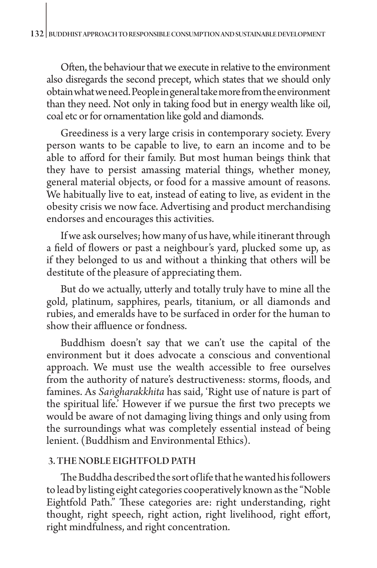Often, the behaviour that we execute in relative to the environment also disregards the second precept, which states that we should only obtain what we need. People in general take more from the environment than they need. Not only in taking food but in energy wealth like oil, coal etc or for ornamentation like gold and diamonds.

Greediness is a very large crisis in contemporary society. Every person wants to be capable to live, to earn an income and to be able to afford for their family. But most human beings think that they have to persist amassing material things, whether money, general material objects, or food for a massive amount of reasons. We habitually live to eat, instead of eating to live, as evident in the obesity crisis we now face. Advertising and product merchandising endorses and encourages this activities.

If we ask ourselves; how many of us have, while itinerant through a field of flowers or past a neighbour's yard, plucked some up, as if they belonged to us and without a thinking that others will be destitute of the pleasure of appreciating them.

But do we actually, utterly and totally truly have to mine all the gold, platinum, sapphires, pearls, titanium, or all diamonds and rubies, and emeralds have to be surfaced in order for the human to show their affluence or fondness.

Buddhism doesn't say that we can't use the capital of the environment but it does advocate a conscious and conventional approach. We must use the wealth accessible to free ourselves from the authority of nature's destructiveness: storms, floods, and famines. As *Saṅgharakkhita* has said, 'Right use of nature is part of the spiritual life.' However if we pursue the first two precepts we would be aware of not damaging living things and only using from the surroundings what was completely essential instead of being lenient. (Buddhism and Environmental Ethics).

## 3. THE NOBLE EIGHTFOLD PATH

The Buddha described the sort of life that he wanted his followers to lead by listing eight categories cooperatively known as the "Noble Eightfold Path." These categories are: right understanding, right thought, right speech, right action, right livelihood, right effort, right mindfulness, and right concentration.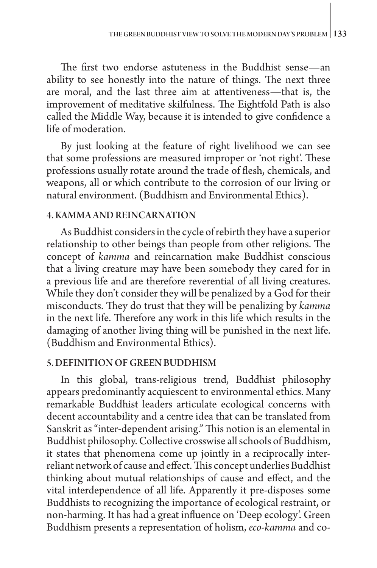The first two endorse astuteness in the Buddhist sense—an ability to see honestly into the nature of things. The next three are moral, and the last three aim at attentiveness—that is, the improvement of meditative skilfulness. The Eightfold Path is also called the Middle Way, because it is intended to give confidence a life of moderation.

By just looking at the feature of right livelihood we can see that some professions are measured improper or 'not right'. These professions usually rotate around the trade of flesh, chemicals, and weapons, all or which contribute to the corrosion of our living or natural environment. (Buddhism and Environmental Ethics).

#### 4. KAMMA AND REINCARNATION

As Buddhist considers in the cycle of rebirth they have a superior relationship to other beings than people from other religions. The concept of *kamma* and reincarnation make Buddhist conscious that a living creature may have been somebody they cared for in a previous life and are therefore reverential of all living creatures. While they don't consider they will be penalized by a God for their misconducts. They do trust that they will be penalizing by *kamma* in the next life. Therefore any work in this life which results in the damaging of another living thing will be punished in the next life. (Buddhism and Environmental Ethics).

#### 5. DEFINITION OF GREEN BUDDHISM

In this global, trans-religious trend, Buddhist philosophy appears predominantly acquiescent to environmental ethics. Many remarkable Buddhist leaders articulate ecological concerns with decent accountability and a centre idea that can be translated from Sanskrit as "inter-dependent arising." This notion is an elemental in Buddhist philosophy. Collective crosswise all schools of Buddhism, it states that phenomena come up jointly in a reciprocally interreliant network of cause and effect. This concept underlies Buddhist thinking about mutual relationships of cause and effect, and the vital interdependence of all life. Apparently it pre-disposes some Buddhists to recognizing the importance of ecological restraint, or non-harming. It has had a great influence on '[Deep ecology](http://www.scu.edu/ethics/practicing/focusareas/environmental_ethics/lesson7.html)'. Green Buddhism presents a representation of holism, *eco-kamma* and co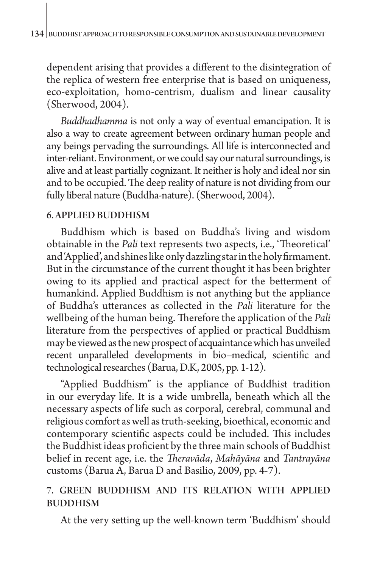dependent arising that provides a different to the disintegration of the replica of western free enterprise that is based on uniqueness, eco-exploitation, homo-centrism, dualism and linear causality (Sherwood, 2004).

*Buddhadhamma* is not only a way of eventual emancipation. It is also a way to create agreement between ordinary human people and any beings pervading the surroundings. All life is interconnected and inter-reliant. Environment, or we could say our natural surroundings, is alive and at least partially cognizant. It neither is holy and ideal nor sin and to be occupied. The deep reality of nature is not dividing from our fully liberal nature (Buddha-nature). (Sherwood, 2004).

## 6. APPLIED BUDDHISM

Buddhism which is based on Buddha's living and wisdom obtainable in the *Pali* text represents two aspects, i.e., 'Theoretical' and 'Applied', and shines like only dazzling star in the holy firmament. But in the circumstance of the current thought it has been brighter owing to its applied and practical aspect for the betterment of humankind. Applied Buddhism is not anything but the appliance of Buddha's utterances as collected in the *Pali* literature for the wellbeing of the human being. Therefore the application of the *Pali* literature from the perspectives of applied or practical Buddhism may be viewed as the new prospect of acquaintance which has unveiled recent unparalleled developments in bio–medical, scientific and technological researches (Barua, D.K, 2005, pp. 1-12).

"Applied Buddhism" is the appliance of Buddhist tradition in our everyday life. It is a wide umbrella, beneath which all the necessary aspects of life such as corporal, cerebral, communal and religious comfort as well as truth-seeking, bioethical, economic and contemporary scientific aspects could be included. This includes the Buddhist ideas proficient by the three main schools of Buddhist belief in recent age, i.e. the *Theravāda*, *Mahāyāna* and *Tantrayāna* customs (Barua A, Barua D and Basilio, 2009, pp. 4-7).

# 7. GREEN BUDDHISM AND ITS RELATION WITH APPLIED BUDDHISM

At the very setting up the well-known term 'Buddhism' should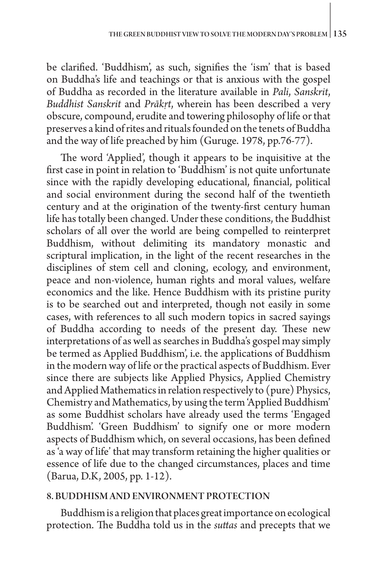be clarified. 'Buddhism', as such, signifies the 'ism' that is based on Buddha's life and teachings or that is anxious with the gospel of Buddha as recorded in the literature available in *Pali*, *Sanskrit*, *Buddhist Sanskrit* and *Prākṛt*, wherein has been described a very obscure, compound, erudite and towering philosophy of life or that preserves a kind of rites and rituals founded on the tenets of Buddha and the way of life preached by him (Guruge. 1978, pp.76-77).

The word 'Applied', though it appears to be inquisitive at the first case in point in relation to 'Buddhism' is not quite unfortunate since with the rapidly developing educational, financial, political and social environment during the second half of the twentieth century and at the origination of the twenty-first century human life has totally been changed. Under these conditions, the Buddhist scholars of all over the world are being compelled to reinterpret Buddhism, without delimiting its mandatory monastic and scriptural implication, in the light of the recent researches in the disciplines of stem cell and cloning, ecology, and environment, peace and non-violence, human rights and moral values, welfare economics and the like. Hence Buddhism with its pristine purity is to be searched out and interpreted, though not easily in some cases, with references to all such modern topics in sacred sayings of Buddha according to needs of the present day. These new interpretations of as well as searches in Buddha's gospel may simply be termed as Applied Buddhism', i.e. the applications of Buddhism in the modern way of life or the practical aspects of Buddhism. Ever since there are subjects like Applied Physics, Applied Chemistry and Applied Mathematics in relation respectively to (pure) Physics, Chemistry and Mathematics, by using the term 'Applied Buddhism' as some Buddhist scholars have already used the terms 'Engaged Buddhism'. 'Green Buddhism' to signify one or more modern aspects of Buddhism which, on several occasions, has been defined as 'a way of life' that may transform retaining the higher qualities or essence of life due to the changed circumstances, places and time (Barua, D.K, 2005, pp. 1-12).

#### 8. BUDDHISM AND ENVIRONMENT PROTECTION

Buddhism is a religion that places great importance on ecological protection. The Buddha told us in the *suttas* and precepts that we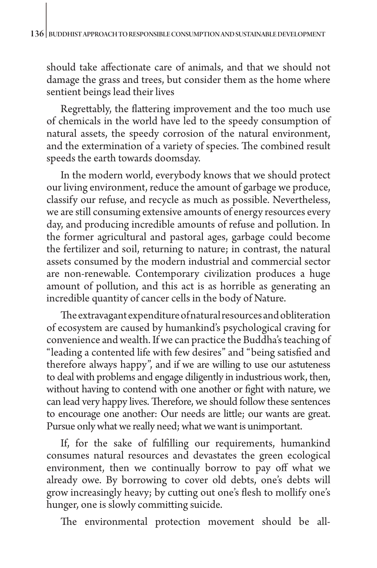should take affectionate care of animals, and that we should not damage the grass and trees, but consider them as the home where sentient beings lead their lives

Regrettably, the flattering improvement and the too much use of chemicals in the world have led to the speedy consumption of natural assets, the speedy corrosion of the natural environment, and the extermination of a variety of species. The combined result speeds the earth towards doomsday.

In the modern world, everybody knows that we should protect our living environment, reduce the amount of garbage we produce, classify our refuse, and recycle as much as possible. Nevertheless, we are still consuming extensive amounts of energy resources every day, and producing incredible amounts of refuse and pollution. In the former agricultural and pastoral ages, garbage could become the fertilizer and soil, returning to nature; in contrast, the natural assets consumed by the modern industrial and commercial sector are non-renewable. Contemporary civilization produces a huge amount of pollution, and this act is as horrible as generating an incredible quantity of cancer cells in the body of Nature.

The extravagant expenditure of natural resources and obliteration of ecosystem are caused by humankind's psychological craving for convenience and wealth. If we can practice the Buddha's teaching of "leading a contented life with few desires" and "being satisfied and therefore always happy", and if we are willing to use our astuteness to deal with problems and engage diligently in industrious work, then, without having to contend with one another or fight with nature, we can lead very happy lives. Therefore, we should follow these sentences to encourage one another: Our needs are little; our wants are great. Pursue only what we really need; what we want is unimportant.

If, for the sake of fulfilling our requirements, humankind consumes natural resources and devastates the green ecological environment, then we continually borrow to pay off what we already owe. By borrowing to cover old debts, one's debts will grow increasingly heavy; by cutting out one's flesh to mollify one's hunger, one is slowly committing suicide.

The environmental protection movement should be all-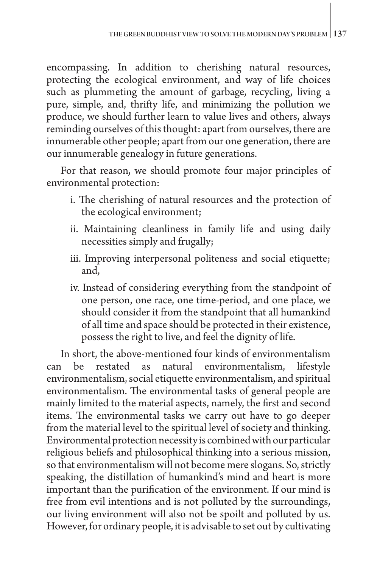encompassing. In addition to cherishing natural resources, protecting the ecological environment, and way of life choices such as plummeting the amount of garbage, recycling, living a pure, simple, and, thrifty life, and minimizing the pollution we produce, we should further learn to value lives and others, always reminding ourselves of this thought: apart from ourselves, there are innumerable other people; apart from our one generation, there are our innumerable genealogy in future generations.

For that reason, we should promote four major principles of environmental protection:

- i. The cherishing of natural resources and the protection of the ecological environment;
- ii. Maintaining cleanliness in family life and using daily necessities simply and frugally;
- iii. Improving interpersonal politeness and social etiquette; and,
- iv. Instead of considering everything from the standpoint of one person, one race, one time-period, and one place, we should consider it from the standpoint that all humankind of all time and space should be protected in their existence, possess the right to live, and feel the dignity of life.

In short, the above-mentioned four kinds of environmentalism can be restated as natural environmentalism, lifestyle environmentalism, social etiquette environmentalism, and spiritual environmentalism. The environmental tasks of general people are mainly limited to the material aspects, namely, the first and second items. The environmental tasks we carry out have to go deeper from the material level to the spiritual level of society and thinking. Environmental protection necessity is combined with our particular religious beliefs and philosophical thinking into a serious mission, so that environmentalism will not become mere slogans. So, strictly speaking, the distillation of humankind's mind and heart is more important than the purification of the environment. If our mind is free from evil intentions and is not polluted by the surroundings, our living environment will also not be spoilt and polluted by us. However, for ordinary people, it is advisable to set out by cultivating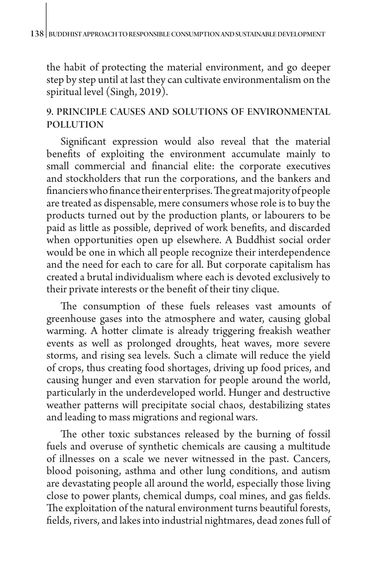the habit of protecting the material environment, and go deeper step by step until at last they can cultivate environmentalism on the spiritual level (Singh, 2019).

# 9. PRINCIPLE CAUSES AND SOLUTIONS OF ENVIRONMENTAL POLLUTION

Significant expression would also reveal that the material benefits of exploiting the environment accumulate mainly to small commercial and financial elite: the corporate executives and stockholders that run the corporations, and the bankers and financiers who finance their enterprises. The great majority of people are treated as dispensable, mere consumers whose role is to buy the products turned out by the production plants, or labourers to be paid as little as possible, deprived of work benefits, and discarded when opportunities open up elsewhere. A Buddhist social order would be one in which all people recognize their interdependence and the need for each to care for all. But corporate capitalism has created a brutal individualism where each is devoted exclusively to their private interests or the benefit of their tiny clique.

The consumption of these fuels releases vast amounts of greenhouse gases into the atmosphere and water, causing global warming. A hotter climate is already triggering freakish weather events as well as prolonged droughts, heat waves, more severe storms, and rising sea levels. Such a climate will reduce the yield of crops, thus creating food shortages, driving up food prices, and causing hunger and even starvation for people around the world, particularly in the underdeveloped world. Hunger and destructive weather patterns will precipitate social chaos, destabilizing states and leading to mass migrations and regional wars.

The other toxic substances released by the burning of fossil fuels and overuse of synthetic chemicals are causing a multitude of illnesses on a scale we never witnessed in the past. Cancers, blood poisoning, asthma and other lung conditions, and autism are devastating people all around the world, especially those living close to power plants, chemical dumps, coal mines, and gas fields. The exploitation of the natural environment turns beautiful forests, fields, rivers, and lakes into industrial nightmares, dead zones full of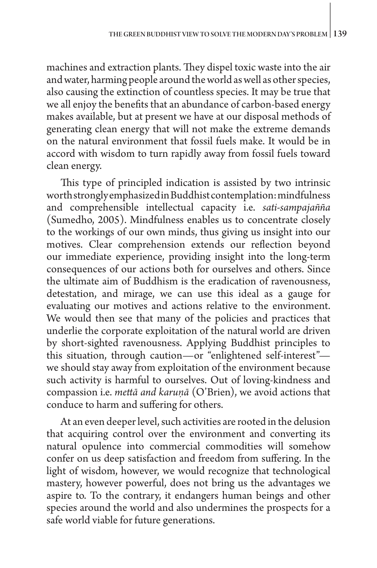machines and extraction plants. They dispel toxic waste into the air and water, harming people around the world as well as other species, also causing the extinction of countless species. It may be true that we all enjoy the benefits that an abundance of carbon-based energy makes available, but at present we have at our disposal methods of generating clean energy that will not make the extreme demands on the natural environment that fossil fuels make. It would be in accord with wisdom to turn rapidly away from fossil fuels toward clean energy.

This type of principled indication is assisted by two intrinsic worth strongly emphasized in Buddhist contemplation: mindfulness and comprehensible intellectual capacity i.e. *sati-sampajañña*  (Sumedho, 2005). Mindfulness enables us to concentrate closely to the workings of our own minds, thus giving us insight into our motives. Clear comprehension extends our reflection beyond our immediate experience, providing insight into the long-term consequences of our actions both for ourselves and others. Since the ultimate aim of Buddhism is the eradication of ravenousness, detestation, and mirage, we can use this ideal as a gauge for evaluating our motives and actions relative to the environment. We would then see that many of the policies and practices that underlie the corporate exploitation of the natural world are driven by short-sighted ravenousness. Applying Buddhist principles to this situation, through caution—or "enlightened self-interest" we should stay away from exploitation of the environment because such activity is harmful to ourselves. Out of loving-kindness and compassion i.e. *mettā and karuṇā* (O'Brien), we avoid actions that conduce to harm and suffering for others.

At an even deeper level, such activities are rooted in the delusion that acquiring control over the environment and converting its natural opulence into commercial commodities will somehow confer on us deep satisfaction and freedom from suffering. In the light of wisdom, however, we would recognize that technological mastery, however powerful, does not bring us the advantages we aspire to. To the contrary, it endangers human beings and other species around the world and also undermines the prospects for a safe world viable for future generations.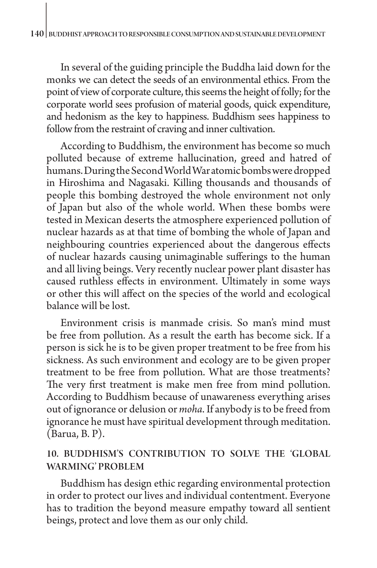In several of the guiding principle the Buddha laid down for the monks we can detect the seeds of an environmental ethics. From the point of view of corporate culture, this seems the height of folly; for the corporate world sees profusion of material goods, quick expenditure, and hedonism as the key to happiness. Buddhism sees happiness to follow from the restraint of craving and inner cultivation.

According to Buddhism, the environment has become so much polluted because of extreme hallucination, greed and hatred of humans. During the Second World War atomic bombs were dropped in Hiroshima and Nagasaki. Killing thousands and thousands of people this bombing destroyed the whole environment not only of Japan but also of the whole world. When these bombs were tested in Mexican deserts the atmosphere experienced pollution of nuclear hazards as at that time of bombing the whole of Japan and neighbouring countries experienced about the dangerous effects of nuclear hazards causing unimaginable sufferings to the human and all living beings. Very recently nuclear power plant disaster has caused ruthless effects in environment. Ultimately in some ways or other this will affect on the species of the world and ecological balance will be lost.

Environment crisis is manmade crisis. So man's mind must be free from pollution. As a result the earth has become sick. If a person is sick he is to be given proper treatment to be free from his sickness. As such environment and ecology are to be given proper treatment to be free from pollution. What are those treatments? The very first treatment is make men free from mind pollution. According to Buddhism because of unawareness everything arises out of ignorance or delusion or *moha*. If anybody is to be freed from ignorance he must have spiritual development through meditation. (Barua, B. P).

# 10. BUDDHISM'S CONTRIBUTION TO SOLVE THE 'GLOBAL WARMING' PROBLEM

Buddhism has design ethic regarding environmental protection in order to protect our lives and individual contentment. Everyone has to tradition the beyond measure empathy toward all sentient beings, protect and love them as our only child.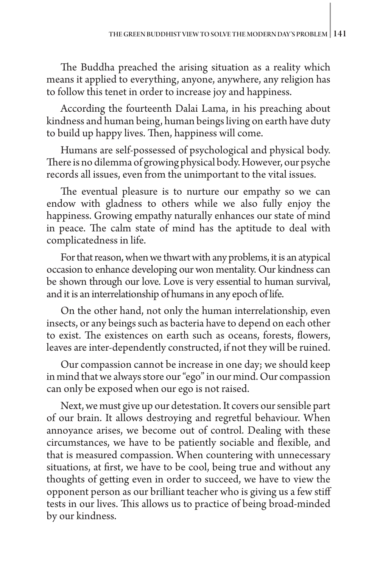The Buddha preached the arising situation as a reality which means it applied to everything, anyone, anywhere, any religion has to follow this tenet in order to increase joy and happiness.

According the fourteenth Dalai Lama, in his preaching about kindness and human being, human beings living on earth have duty to build up happy lives. Then, happiness will come.

Humans are self-possessed of psychological and physical body. There is no dilemma of growing physical body. However, our psyche records all issues, even from the unimportant to the vital issues.

The eventual pleasure is to nurture our empathy so we can endow with gladness to others while we also fully enjoy the happiness. Growing empathy naturally enhances our state of mind in peace. The calm state of mind has the aptitude to deal with complicatedness in life.

For that reason, when we thwart with any problems, it is an atypical occasion to enhance developing our won mentality. Our kindness can be shown through our love. Love is very essential to human survival, and it is an interrelationship of humans in any epoch of life.

On the other hand, not only the human interrelationship, even insects, or any beings such as bacteria have to depend on each other to exist. The existences on earth such as oceans, forests, flowers, leaves are inter-dependently constructed, if not they will be ruined.

Our compassion cannot be increase in one day; we should keep in mind that we always store our "ego" in our mind. Our compassion can only be exposed when our ego is not raised.

Next, we must give up our detestation. It covers our sensible part of our brain. It allows destroying and regretful behaviour. When annoyance arises, we become out of control. Dealing with these circumstances, we have to be patiently sociable and flexible, and that is measured compassion. When countering with unnecessary situations, at first, we have to be cool, being true and without any thoughts of getting even in order to succeed, we have to view the opponent person as our brilliant teacher who is giving us a few stiff tests in our lives. This allows us to practice of being broad-minded by our kindness.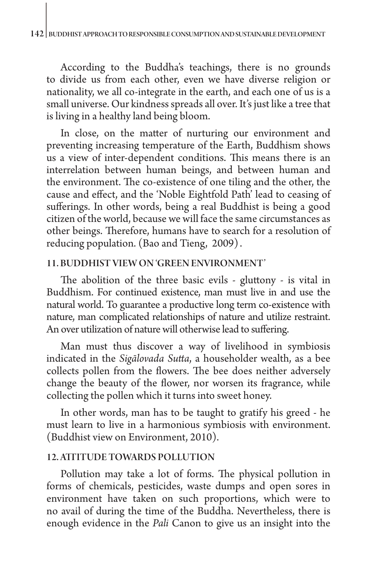According to the Buddha's teachings, there is no grounds to divide us from each other, even we have diverse religion or nationality, we all co-integrate in the earth, and each one of us is a small universe. Our kindness spreads all over. It's just like a tree that is living in a healthy land being bloom.

In close, on the matter of nurturing our environment and preventing increasing temperature of the Earth, Buddhism shows us a view of inter-dependent conditions. This means there is an interrelation between human beings, and between human and the environment. The co-existence of one tiling and the other, the cause and effect, and the 'Noble Eightfold Path' lead to ceasing of sufferings. In other words, being a real Buddhist is being a good citizen of the world, because we will face the same circumstances as other beings. Therefore, humans have to search for a resolution of reducing population. (Bao and Tieng, 2009) .

## 11. BUDDHIST VIEW ON 'GREEN ENVIRONMENT'

The abolition of the three basic evils - gluttony - is vital in Buddhism. For continued existence, man must live in and use the natural world. To guarantee a productive long term co-existence with nature, man complicated relationships of nature and utilize restraint. An over utilization of nature will otherwise lead to suffering.

Man must thus discover a way of livelihood in symbiosis indicated in the *Sigālovada Sutta*, a householder wealth, as a bee collects pollen from the flowers. The bee does neither adversely change the beauty of the flower, nor worsen its fragrance, while collecting the pollen which it turns into sweet honey.

In other words, man has to be taught to gratify his greed - he must learn to live in a harmonious symbiosis with environment. (Buddhist view on Environment, 2010).

## 12. ATTITUDE TOWARDS POLLUTION

Pollution may take a lot of forms. The physical pollution in forms of chemicals, pesticides, waste dumps and open sores in environment have taken on such proportions, which were to no avail of during the time of the Buddha. Nevertheless, there is enough evidence in the *Pali* Canon to give us an insight into the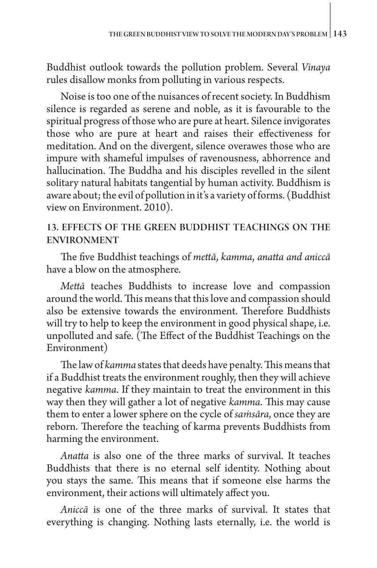Buddhist outlook towards the pollution problem. Several *Vinaya* rules disallow monks from polluting in various respects.

Noise is too one of the nuisances of recent society. In Buddhism silence is regarded as serene and noble, as it is favourable to the spiritual progress of those who are pure at heart. Silence invigorates those who are pure at heart and raises their effectiveness for meditation. And on the divergent, silence overawes those who are impure with shameful impulses of ravenousness, abhorrence and hallucination. The Buddha and his disciples revelled in the silent solitary natural habitats tangential by human activity. Buddhism is aware about; the evil of pollution in it's a variety of forms. (Buddhist view on Environment. 2010).

# 13. EFFECTS OF THE GREEN BUDDHIST TEACHINGS ON THE ENVIRONMENT

The five Buddhist teachings of *mettā*, *kamma*, *anatta and aniccā* have a blow on the atmosphere.

*Mettā* teaches Buddhists to increase love and compassion around the world. This means that this love and compassion should also be extensive towards the environment. Therefore Buddhists will try to help to keep the environment in good physical shape, i.e. unpolluted and safe. (The Effect of the Buddhist Teachings on the Environment)

The law of *kamma* states that deeds have penalty. This means that if a Buddhist treats the environment roughly, then they will achieve negative *kamma*. If they maintain to treat the environment in this way then they will gather a lot of negative *kamma*. This may cause them to enter a lower sphere on the cycle of *saṁsāra*, once they are reborn. Therefore the teaching of karma prevents Buddhists from harming the environment.

*Anatta* is also one of the three marks of survival. It teaches Buddhists that there is no eternal self identity. Nothing about you stays the same. This means that if someone else harms the environment, their actions will ultimately affect you.

*Aniccā* is one of the three marks of survival. It states that everything is changing. Nothing lasts eternally, i.e. the world is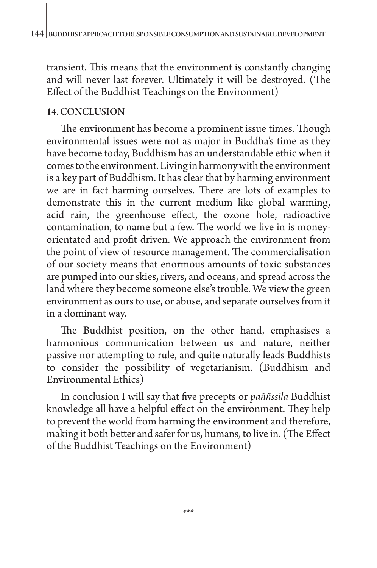transient. This means that the environment is constantly changing and will never last forever. Ultimately it will be destroyed. (The Effect of the Buddhist Teachings on the Environment)

# 14. CONCLUSION

The environment has become a prominent issue times. Though environmental issues were not as major in Buddha's time as they have become today, Buddhism has an understandable ethic when it comes to the environment. Living in harmony with the environment is a key part of Buddhism. It has clear that by harming environment we are in fact harming ourselves. There are lots of examples to demonstrate this in the current medium like global warming, acid rain, the greenhouse effect, the ozone hole, radioactive contamination, to name but a few. The world we live in is moneyorientated and profit driven. We approach the environment from the point of view of resource management. The commercialisation of our society means that enormous amounts of toxic substances are pumped into our skies, rivers, and oceans, and spread across the land where they become someone else's trouble. We view the green environment as ours to use, or abuse, and separate ourselves from it in a dominant way.

The Buddhist position, on the other hand, emphasises a harmonious communication between us and nature, neither passive nor attempting to rule, and quite naturally leads Buddhists to consider the possibility of vegetarianism. (Buddhism and Environmental Ethics)

In conclusion I will say that five precepts or *paññssila* Buddhist knowledge all have a helpful effect on the environment. They help to prevent the world from harming the environment and therefore, making it both better and safer for us, humans, to live in. (The Effect of the Buddhist Teachings on the Environment)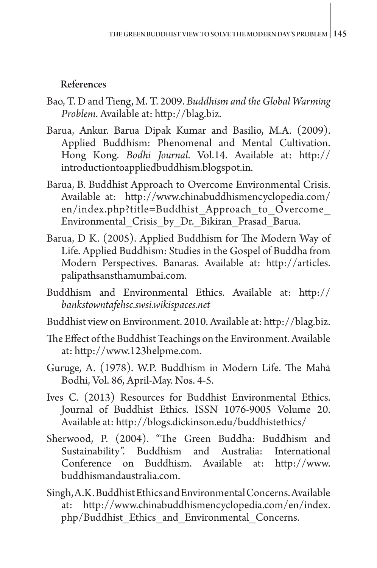# References

- Bao, T. D and Tieng, M. T. 2009. *Buddhism and the Global Warming Problem*. Available at: http://blag.biz.
- Barua, Ankur. Barua Dipak Kumar and Basilio, M.A. (2009). Applied Buddhism: Phenomenal and Mental Cultivation. Hong Kong. *Bodhi Journal*. Vol.14. Available at: [http://](http://introductiontoappliedbuddhism.blogspot.in) [introductiontoappliedbuddhism.blogspot.in](http://introductiontoappliedbuddhism.blogspot.in).
- Barua, B. Buddhist Approach to Overcome Environmental Crisis. Available at: http://www.chinabuddhismencyclopedia.com/ en/index.php?title=Buddhist\_Approach\_to\_Overcome\_ Environmental Crisis by Dr. Bikiran Prasad Barua.
- Barua, D K. (2005). Applied Buddhism for The Modern Way of Life. Applied Buddhism: Studies in the Gospel of Buddha from Modern Perspectives. Banaras. Available at: [http://articles.](http://articles.palipathsansthamumbai.com) [palipathsansthamumbai.com.](http://articles.palipathsansthamumbai.com)
- Buddhism and Environmental Ethics. Available at: http:// *bankstowntafehsc.swsi.wikispaces.net*
- Buddhist view on Environment. 2010. Available at: http://blag.biz.
- The Effect of the Buddhist Teachings on the Environment. Available at: [http://www.123helpme.com.](http://www.123helpme.com)
- Guruge, A. (1978). W.P. Buddhism in Modern Life. The Mahā Bodhi, Vol. 86, April-May. Nos. 4-5.
- Ives C. (2013) Resources for Buddhist Environmental Ethics. Journal of Buddhist Ethics. ISSN 1076-9005 Volume 20. Available at:<http://blogs.dickinson.edu/buddhistethics/>
- Sherwood, P. (2004). "The Green Buddha: Buddhism and Sustainability". Buddhism and Australia: International Conference on Buddhism. Available at: [http://www.](http://www.buddhismandaustralia.com) [buddhismandaustralia.com.](http://www.buddhismandaustralia.com)
- Singh, A.K. Buddhist Ethics and Environmental Concerns. Available at: [http://www.chinabuddhismencyclopedia.com/en/index.](http://www.chinabuddhismencyclopedia.com/en/index.php/Buddhist_Ethics_and_Environmental_Concerns) [php/Buddhist\\_Ethics\\_and\\_Environmental\\_Concerns](http://www.chinabuddhismencyclopedia.com/en/index.php/Buddhist_Ethics_and_Environmental_Concerns).